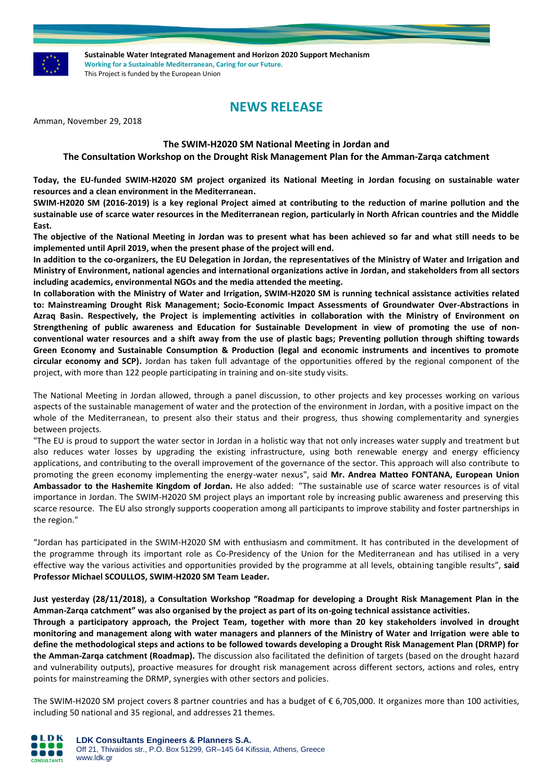

**Sustainable Water Integrated Management and Horizon 2020 Support Mechanism Working for a Sustainable Mediterranean, Caring for our Future.**  This Project is funded by the European Union

# **NEWS RELEASE**

Amman, November 29, 2018

# **The SWIM-H2020 SM National Meeting in Jordan and**

# **The Consultation Workshop on the Drought Risk Management Plan for the Amman-Zarqa catchment**

**Today, the EU-funded SWIM-H2020 SM project organized its National Meeting in Jordan focusing on sustainable water resources and a clean environment in the Mediterranean.**

**SWIM-H2020 SM (2016-2019) is a key regional Project aimed at contributing to the reduction of marine pollution and the sustainable use of scarce water resources in the Mediterranean region, particularly in North African countries and the Middle East.**

**The objective of the National Meeting in Jordan was to present what has been achieved so far and what still needs to be implemented until April 2019, when the present phase of the project will end.**

**In addition to the co-organizers, the EU Delegation in Jordan, the representatives of the Ministry of Water and Irrigation and Ministry of Environment, national agencies and international organizations active in Jordan, and stakeholders from all sectors including academics, environmental NGOs and the media attended the meeting.**

**In collaboration with the Ministry of Water and Irrigation, SWIM-H2020 SM is running technical assistance activities related to: Mainstreaming Drought Risk Management; Socio-Economic Impact Assessments of Groundwater Over-Abstractions in Azraq Basin. Respectively, the Project is implementing activities in collaboration with the Ministry of Environment on Strengthening of public awareness and Education for Sustainable Development in view of promoting the use of nonconventional water resources and a shift away from the use of plastic bags; Preventing pollution through shifting towards Green Economy and Sustainable Consumption & Production (legal and economic instruments and incentives to promote circular economy and SCP).** Jordan has taken full advantage of the opportunities offered by the regional component of the project, with more than 122 people participating in training and on-site study visits.

The National Meeting in Jordan allowed, through a panel discussion, to other projects and key processes working on various aspects of the sustainable management of water and the protection of the environment in Jordan, with a positive impact on the whole of the Mediterranean, to present also their status and their progress, thus showing complementarity and synergies between projects.

"The EU is proud to support the water sector in Jordan in a holistic way that not only increases water supply and treatment but also reduces water losses by upgrading the existing infrastructure, using both renewable energy and energy efficiency applications, and contributing to the overall improvement of the governance of the sector. This approach will also contribute to promoting the green economy implementing the energy-water nexus", said **Mr. Andrea Matteo FONTANA, European Union Ambassador to the Hashemite Kingdom of Jordan.** He also added: "The sustainable use of scarce water resources is of vital importance in Jordan. The SWIM-H2020 SM project plays an important role by increasing public awareness and preserving this scarce resource. The EU also strongly supports cooperation among all participants to improve stability and foster partnerships in the region."

"Jordan has participated in the SWIM-H2020 SM with enthusiasm and commitment. It has contributed in the development of the programme through its important role as Co-Presidency of the Union for the Mediterranean and has utilised in a very effective way the various activities and opportunities provided by the programme at all levels, obtaining tangible results", **said Professor Michael SCOULLOS, SWIM-H2020 SM Team Leader.**

## **Just yesterday (28/11/2018), a Consultation Workshop "Roadmap for developing a Drought Risk Management Plan in the Amman-Zarqa catchment" was also organised by the project as part of its on-going technical assistance activities.**

**Through a participatory approach, the Project Team, together with more than 20 key stakeholders involved in drought monitoring and management along with water managers and planners of the Ministry of Water and Irrigation were able to define the methodological steps and actions to be followed towards developing a Drought Risk Management Plan (DRMP) for the Amman-Zarqa catchment (Roadmap).** The discussion also facilitated the definition of targets (based on the drought hazard and vulnerability outputs), proactive measures for drought risk management across different sectors, actions and roles, entry points for mainstreaming the DRMP, synergies with other sectors and policies.

The SWIM-H2020 SM project covers 8 partner countries and has a budget of € 6,705,000. It organizes more than 100 activities, including 50 national and 35 regional, and addresses 21 themes.